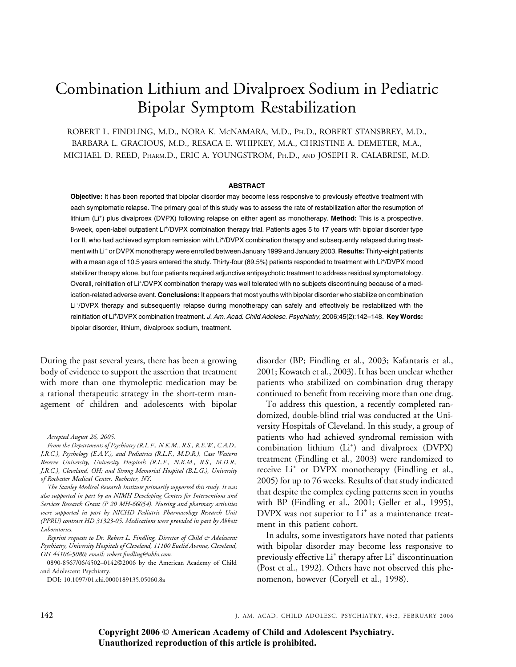# Combination Lithium and Divalproex Sodium in Pediatric Bipolar Symptom Restabilization

ROBERT L. FINDLING, M.D., NORA K. MCNAMARA, M.D., PH.D., ROBERT STANSBREY, M.D., BARBARA L. GRACIOUS, M.D., RESACA E. WHIPKEY, M.A., CHRISTINE A. DEMETER, M.A., MICHAEL D. REED, PHARM.D., ERIC A. YOUNGSTROM, PH.D., AND JOSEPH R. CALABRESE, M.D.

## **ABSTRACT**

Objective: It has been reported that bipolar disorder may become less responsive to previously effective treatment with each symptomatic relapse. The primary goal of this study was to assess the rate of restabilization after the resumption of lithium (Li<sup>+</sup>) plus divalproex (DVPX) following relapse on either agent as monotherapy. Method: This is a prospective, 8-week, open-label outpatient Li<sup>+</sup>/DVPX combination therapy trial. Patients ages 5 to 17 years with bipolar disorder type I or II, who had achieved symptom remission with Li<sup>+</sup>/DVPX combination therapy and subsequently relapsed during treatment with Li<sup>+</sup> or DVPX monotherapy were enrolled between January 1999 and January 2003. Results: Thirty-eight patients with a mean age of 10.5 years entered the study. Thirty-four (89.5%) patients responded to treatment with Li<sup>+</sup>/DVPX mood stabilizer therapy alone, but four patients required adjunctive antipsychotic treatment to address residual symptomatology. Overall, reinitiation of Li<sup>+</sup>/DVPX combination therapy was well tolerated with no subjects discontinuing because of a medication-related adverse event. Conclusions: It appears that most youths with bipolar disorder who stabilize on combination Li<sup>+</sup>/DVPX therapy and subsequently relapse during monotherapy can safely and effectively be restabilized with the reinitiation of Li<sup>+</sup>/DVPX combination treatment. J. Am. Acad. Child Adolesc. Psychiatry, 2006;45(2):142-148. Key Words: bipolar disorder, lithium, divalproex sodium, treatment.

During the past several years, there has been a growing body of evidence to support the assertion that treatment with more than one thymoleptic medication may be a rational therapeutic strategy in the short-term management of children and adolescents with bipolar disorder (BP; Findling et al., 2003; Kafantaris et al., 2001; Kowatch et al., 2003). It has been unclear whether patients who stabilized on combination drug therapy continued to benefit from receiving more than one drug.

To address this question, a recently completed randomized, double-blind trial was conducted at the University Hospitals of Cleveland. In this study, a group of patients who had achieved syndromal remission with combination lithium (Li<sup>+</sup>) and divalproex (DVPX) treatment (Findling et al., 2003) were randomized to receive Li<sup>+</sup> or DVPX monotherapy (Findling et al., 2005) for up to 76 weeks. Results of that study indicated that despite the complex cycling patterns seen in youths with BP (Findling et al., 2001; Geller et al., 1995),  $DVPX$  was not superior to  $Li<sup>+</sup>$  as a maintenance treatment in this patient cohort.

In adults, some investigators have noted that patients with bipolar disorder may become less responsive to previously effective Li<sup>+</sup> therapy after Li<sup>+</sup> discontinuation (Post et al., 1992). Others have not observed this phenomenon, however (Coryell et al., 1998).

Accepted August 26, 2005.

From the Departments of Psychiatry (R.L.F., N.K.M., R.S., R.E.W., C.A.D., J.R.C.), Psychology (E.A.Y.), and Pediatrics (R.L.F., M.D.R.), Case Western Reserve University, University Hospitals (R.L.F., N.K.M., R.S., M.D.R., J.R.C.), Cleveland, OH; and Strong Memorial Hospital (B.L.G.), University of Rochester Medical Center, Rochester, NY.

The Stanley Medical Research Institute primarily supported this study. It was also supported in part by an NIMH Developing Centers for Interventions and Services Research Grant (P 20 MH-66054). Nursing and pharmacy activities were supported in part by NICHD Pediatric Pharmacology Research Unit (PPRU) contract HD 31323-05. Medications were provided in part by Abbott Laboratories.

Reprint requests to Dr. Robert L. Findling, Director of Child & Adolescent Psychiatry, University Hospitals of Cleveland, 11100 Euclid Avenue, Cleveland, OH 44106-5080; email: robert.findling@uhhs.com.

<sup>0890-8567/06/4502–0142</sup>2006 by the American Academy of Child and Adolescent Psychiatry.

DOI: 10.1097/01.chi.0000189135.05060.8a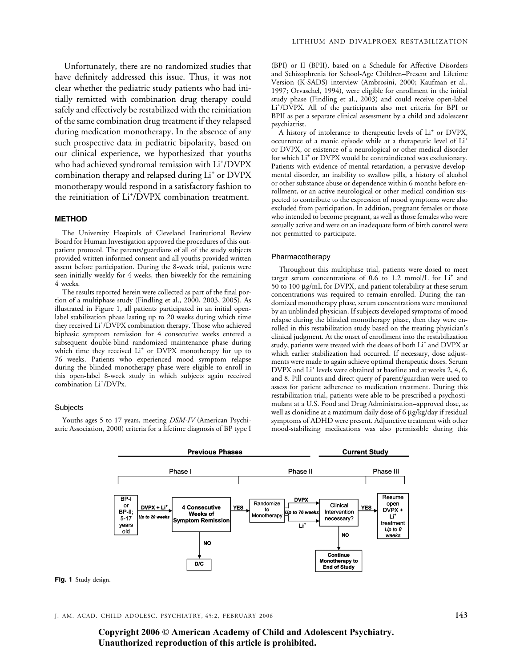Unfortunately, there are no randomized studies that have definitely addressed this issue. Thus, it was not clear whether the pediatric study patients who had initially remitted with combination drug therapy could safely and effectively be restabilized with the reinitiation of the same combination drug treatment if they relapsed during medication monotherapy. In the absence of any such prospective data in pediatric bipolarity, based on our clinical experience, we hypothesized that youths who had achieved syndromal remission with Li<sup>+</sup>/DVPX combination therapy and relapsed during Li<sup>+</sup> or DVPX monotherapy would respond in a satisfactory fashion to the reinitiation of Li<sup>+</sup>/DVPX combination treatment.

#### METHOD

The University Hospitals of Cleveland Institutional Review Board for Human Investigation approved the procedures of this outpatient protocol. The parents/guardians of all of the study subjects provided written informed consent and all youths provided written assent before participation. During the 8-week trial, patients were seen initially weekly for 4 weeks, then biweekly for the remaining 4 weeks.

The results reported herein were collected as part of the final portion of a multiphase study (Findling et al., 2000, 2003, 2005). As illustrated in Figure 1, all patients participated in an initial openlabel stabilization phase lasting up to 20 weeks during which time they received Li+ /DVPX combination therapy. Those who achieved biphasic symptom remission for 4 consecutive weeks entered a subsequent double-blind randomized maintenance phase during which time they received Li<sup>+</sup> or DVPX monotherapy for up to 76 weeks. Patients who experienced mood symptom relapse during the blinded monotherapy phase were eligible to enroll in this open-label 8-week study in which subjects again received combination Li<sup>+</sup>/DVPx.

#### **Subjects**

Youths ages 5 to 17 years, meeting DSM-IV (American Psychiatric Association, 2000) criteria for a lifetime diagnosis of BP type I

(BPI) or II (BPII), based on a Schedule for Affective Disorders and Schizophrenia for School-Age Children–Present and Lifetime Version (K-SADS) interview (Ambrosini, 2000; Kaufman et al., 1997; Orvaschel, 1994), were eligible for enrollment in the initial study phase (Findling et al., 2003) and could receive open-label Li+ /DVPX. All of the participants also met criteria for BPI or BPII as per a separate clinical assessment by a child and adolescent psychiatrist.

A history of intolerance to therapeutic levels of Li<sup>+</sup> or DVPX, occurrence of a manic episode while at a therapeutic level of Li+ or DVPX, or existence of a neurological or other medical disorder for which Li<sup>+</sup> or DVPX would be contraindicated was exclusionary. Patients with evidence of mental retardation, a pervasive developmental disorder, an inability to swallow pills, a history of alcohol or other substance abuse or dependence within 6 months before enrollment, or an active neurological or other medical condition suspected to contribute to the expression of mood symptoms were also excluded from participation. In addition, pregnant females or those who intended to become pregnant, as well as those females who were sexually active and were on an inadequate form of birth control were not permitted to participate.

#### Pharmacotherapy

Throughout this multiphase trial, patients were dosed to meet target serum concentrations of  $0.6$  to  $1.2$  mmol/L for  $Li<sup>+</sup>$  and 50 to 100 mg/mL for DVPX, and patient tolerability at these serum concentrations was required to remain enrolled. During the randomized monotherapy phase, serum concentrations were monitored by an unblinded physician. If subjects developed symptoms of mood relapse during the blinded monotherapy phase, then they were enrolled in this restabilization study based on the treating physician's clinical judgment. At the onset of enrollment into the restabilization study, patients were treated with the doses of both Li<sup>+</sup> and DVPX at which earlier stabilization had occurred. If necessary, dose adjustments were made to again achieve optimal therapeutic doses. Serum DVPX and Li<sup>+</sup> levels were obtained at baseline and at weeks 2, 4, 6, and 8. Pill counts and direct query of parent/guardian were used to assess for patient adherence to medication treatment. During this restabilization trial, patients were able to be prescribed a psychostimulant at a U.S. Food and Drug Administration–approved dose, as well as clonidine at a maximum daily dose of 6 µg/kg/day if residual symptoms of ADHD were present. Adjunctive treatment with other mood-stabilizing medications was also permissible during this



J. AM. ACAD. CHILD ADOLESC. PSYCHIATRY, 45:2, FEBRUARY 2006 143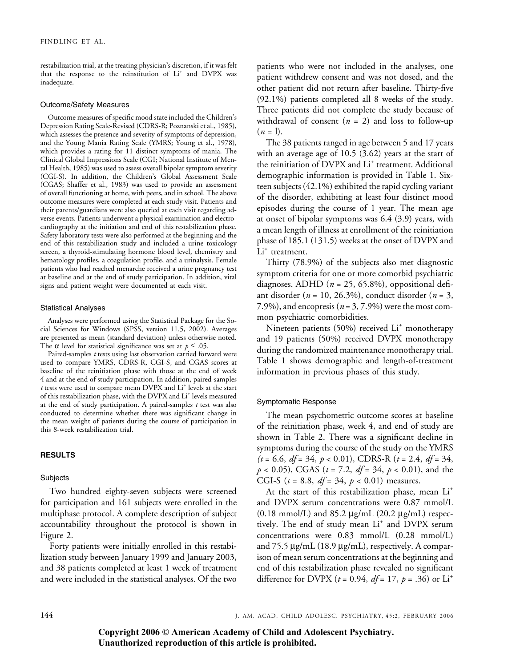restabilization trial, at the treating physician's discretion, if it was felt that the response to the reinstitution of Li<sup>+</sup> and DVPX was inadequate.

#### Outcome/Safety Measures

Outcome measures of specific mood state included the Children's Depression Rating Scale-Revised (CDRS-R; Poznanski et al., 1985), which assesses the presence and severity of symptoms of depression, and the Young Mania Rating Scale (YMRS; Young et al., 1978), which provides a rating for 11 distinct symptoms of mania. The Clinical Global Impressions Scale (CGI; National Institute of Mental Health, 1985) was used to assess overall bipolar symptom severity (CGI-S). In addition, the Children's Global Assessment Scale (CGAS; Shaffer et al., 1983) was used to provide an assessment of overall functioning at home, with peers, and in school. The above outcome measures were completed at each study visit. Patients and their parents/guardians were also queried at each visit regarding adverse events. Patients underwent a physical examination and electrocardiography at the initiation and end of this restabilization phase. Safety laboratory tests were also performed at the beginning and the end of this restabilization study and included a urine toxicology screen, a thyroid-stimulating hormone blood level, chemistry and hematology profiles, a coagulation profile, and a urinalysis. Female patients who had reached menarche received a urine pregnancy test at baseline and at the end of study participation. In addition, vital signs and patient weight were documented at each visit.

#### Statistical Analyses

Analyses were performed using the Statistical Package for the Social Sciences for Windows (SPSS, version 11.5, 2002). Averages are presented as mean (standard deviation) unless otherwise noted. The  $\alpha$  level for statistical significance was set at  $p \leq .05$ .

Paired-samples *t* tests using last observation carried forward were used to compare YMRS, CDRS-R, CGI-S, and CGAS scores at baseline of the reinitiation phase with those at the end of week 4 and at the end of study participation. In addition, paired-samples t tests were used to compare mean DVPX and Li<sup>+</sup> levels at the start of this restabilization phase, with the DVPX and Li<sup>+</sup> levels measured at the end of study participation. A paired-samples  $t$  test was also conducted to determine whether there was significant change in the mean weight of patients during the course of participation in this 8-week restabilization trial.

# RESULTS

#### Subjects

Two hundred eighty-seven subjects were screened for participation and 161 subjects were enrolled in the multiphase protocol. A complete description of subject accountability throughout the protocol is shown in Figure 2.

Forty patients were initially enrolled in this restabilization study between January 1999 and January 2003, and 38 patients completed at least 1 week of treatment and were included in the statistical analyses. Of the two

patients who were not included in the analyses, one patient withdrew consent and was not dosed, and the other patient did not return after baseline. Thirty-five (92.1%) patients completed all 8 weeks of the study. Three patients did not complete the study because of withdrawal of consent  $(n = 2)$  and loss to follow-up  $(n = 1)$ .

The 38 patients ranged in age between 5 and 17 years with an average age of 10.5 (3.62) years at the start of the reinitiation of DVPX and Li<sup>+</sup> treatment. Additional demographic information is provided in Table 1. Sixteen subjects (42.1%) exhibited the rapid cycling variant of the disorder, exhibiting at least four distinct mood episodes during the course of 1 year. The mean age at onset of bipolar symptoms was 6.4 (3.9) years, with a mean length of illness at enrollment of the reinitiation phase of 185.1 (131.5) weeks at the onset of DVPX and Li<sup>+</sup> treatment.

Thirty (78.9%) of the subjects also met diagnostic symptom criteria for one or more comorbid psychiatric diagnoses. ADHD ( $n = 25, 65.8\%$ ), oppositional defiant disorder ( $n = 10, 26.3\%$ ), conduct disorder ( $n = 3$ , 7.9%), and encopresis ( $n = 3, 7.9%$ ) were the most common psychiatric comorbidities.

Nineteen patients (50%) received Li<sup>+</sup> monotherapy and 19 patients (50%) received DVPX monotherapy during the randomized maintenance monotherapy trial. Table 1 shows demographic and length-of-treatment information in previous phases of this study.

## Symptomatic Response

The mean psychometric outcome scores at baseline of the reinitiation phase, week 4, and end of study are shown in Table 2. There was a significant decline in symptoms during the course of the study on the YMRS  $(t = 6.6, df = 34, p < 0.01)$ , CDRS-R  $(t = 2.4, df = 34,$  $p < 0.05$ ), CGAS ( $t = 7.2$ ,  $df = 34$ ,  $p < 0.01$ ), and the CGI-S ( $t = 8.8$ ,  $df = 34$ ,  $p < 0.01$ ) measures.

At the start of this restabilization phase, mean Li<sup>+</sup> and DVPX serum concentrations were 0.87 mmol/L  $(0.18 \text{ mmol/L})$  and  $85.2 \text{ µg/mL}$   $(20.2 \text{ µg/mL})$  respectively. The end of study mean Li<sup>+</sup> and DVPX serum concentrations were 0.83 mmol/L (0.28 mmol/L) and  $75.5 \mu g/mL$  (18.9  $\mu g/mL$ ), respectively. A comparison of mean serum concentrations at the beginning and end of this restabilization phase revealed no significant difference for DVPX ( $t = 0.94$ ,  $df = 17$ ,  $p = .36$ ) or Li<sup>+</sup>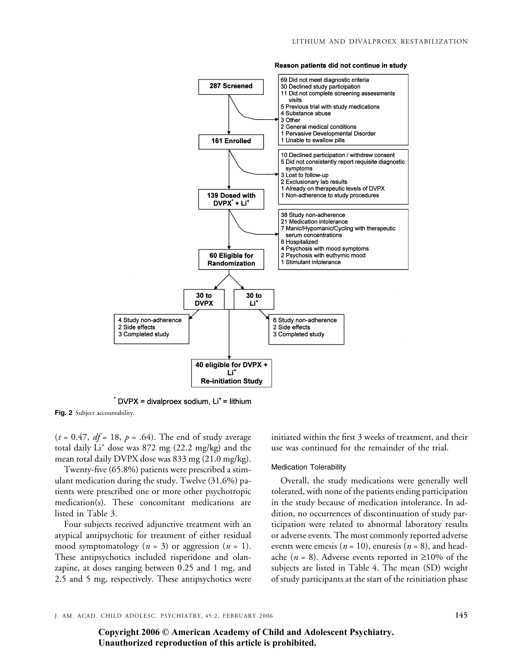

Reason patients did not continue in study

 $\dot{ }$  DVPX = divalproex sodium, Li<sup>+</sup> = lithium

Fig. 2 Subject accountability.

 $(t = 0.47, df = 18, p = .64)$ . The end of study average total daily Li<sup>+</sup> dose was 872 mg (22.2 mg/kg) and the mean total daily DVPX dose was 833 mg (21.0 mg/kg).

Twenty-five (65.8%) patients were prescribed a stimulant medication during the study. Twelve (31.6%) patients were prescribed one or more other psychotropic medication(s). These concomitant medications are listed in Table 3.

Four subjects received adjunctive treatment with an atypical antipsychotic for treatment of either residual mood symptomatology ( $n = 3$ ) or aggression ( $n = 1$ ). These antipsychotics included risperidone and olanzapine, at doses ranging between 0.25 and 1 mg, and 2.5 and 5 mg, respectively. These antipsychotics were initiated within the first 3 weeks of treatment, and their use was continued for the remainder of the trial.

#### Medication Tolerability

Overall, the study medications were generally well tolerated, with none of the patients ending participation in the study because of medication intolerance. In addition, no occurrences of discontinuation of study participation were related to abnormal laboratory results or adverse events. The most commonly reported adverse events were emesis ( $n = 10$ ), enuresis ( $n = 8$ ), and headache (*n* = 8). Adverse events reported in  $\geq 10\%$  of the subjects are listed in Table 4. The mean (SD) weight of study participants at the start of the reinitiation phase

J. AM. ACAD. CHILD ADOLESC. PSYCHIATRY, 45:2, FEBRUARY 2006 145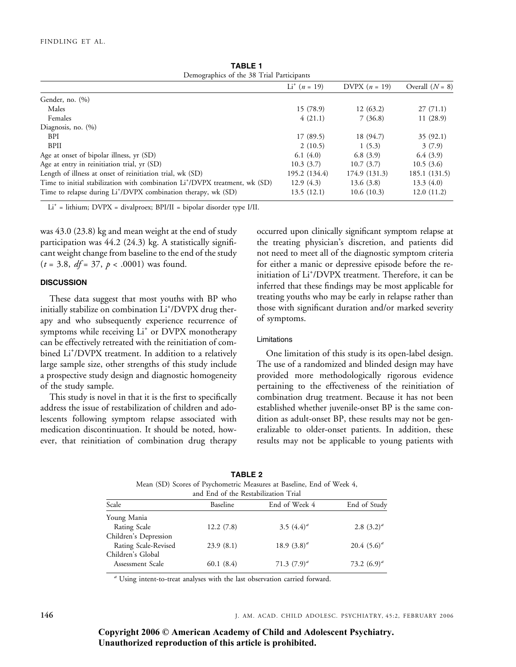| Demographics of the 58 Trial Participants                                               |                |                 |                   |
|-----------------------------------------------------------------------------------------|----------------|-----------------|-------------------|
|                                                                                         | $Li^+(n = 19)$ | DVPX $(n = 19)$ | Overall $(N = 8)$ |
| Gender, no. (%)                                                                         |                |                 |                   |
| Males                                                                                   | 15(78.9)       | 12(63.2)        | 27(71.1)          |
| Females                                                                                 | 4(21.1)        | 7(36.8)         | 11(28.9)          |
| Diagnosis, no. $(\%)$                                                                   |                |                 |                   |
| <b>BPI</b>                                                                              | 17(89.5)       | 18 (94.7)       | 35(92.1)          |
| <b>BPII</b>                                                                             | 2(10.5)        | 1(5.3)          | 3(7.9)            |
| Age at onset of bipolar illness, yr (SD)                                                | 6.1(4.0)       | 6.8(3.9)        | 6.4(3.9)          |
| Age at entry in reinitiation trial, yr (SD)                                             | 10.3(3.7)      | 10.7(3.7)       | 10.5(3.6)         |
| Length of illness at onset of reinitiation trial, wk (SD)                               | 195.2 (134.4)  | 174.9 (131.3)   | 185.1 (131.5)     |
| Time to initial stabilization with combination Li <sup>+</sup> /DVPX treatment, wk (SD) | 12.9(4.3)      | 13.6(3.8)       | 13.3(4.0)         |
| Time to relapse during Li <sup>+</sup> /DVPX combination therapy, wk (SD)               | 13.5 (12.1)    | 10.6(10.3)      | 12.0(11.2)        |

TABLE 1  $f$  the 38 Trial Particip

Li+ = lithium; DVPX = divalproex; BPI/II = bipolar disorder type I/II.

was 43.0 (23.8) kg and mean weight at the end of study participation was 44.2 (24.3) kg. A statistically significant weight change from baseline to the end of the study  $(t = 3.8, df = 37, p < .0001)$  was found.

# **DISCUSSION**

These data suggest that most youths with BP who initially stabilize on combination Li<sup>+</sup>/DVPX drug therapy and who subsequently experience recurrence of symptoms while receiving Li<sup>+</sup> or DVPX monotherapy can be effectively retreated with the reinitiation of combined Li<sup>+</sup>/DVPX treatment. In addition to a relatively large sample size, other strengths of this study include a prospective study design and diagnostic homogeneity of the study sample.

This study is novel in that it is the first to specifically address the issue of restabilization of children and adolescents following symptom relapse associated with medication discontinuation. It should be noted, however, that reinitiation of combination drug therapy occurred upon clinically significant symptom relapse at the treating physician's discretion, and patients did not need to meet all of the diagnostic symptom criteria for either a manic or depressive episode before the reinitiation of Li<sup>+</sup> /DVPX treatment. Therefore, it can be inferred that these findings may be most applicable for treating youths who may be early in relapse rather than those with significant duration and/or marked severity of symptoms.

# Limitations

One limitation of this study is its open-label design. The use of a randomized and blinded design may have provided more methodologically rigorous evidence pertaining to the effectiveness of the reinitiation of combination drug treatment. Because it has not been established whether juvenile-onset BP is the same condition as adult-onset BP, these results may not be generalizable to older-onset patients. In addition, these results may not be applicable to young patients with

| Mean (SD) Scores of Psychometric Measures at Baseline, End of Week 4,<br>and End of the Restabilization Trial |           |                  |                  |
|---------------------------------------------------------------------------------------------------------------|-----------|------------------|------------------|
| Scale                                                                                                         | Baseline  | End of Week 4    | End of Study     |
| Young Mania                                                                                                   |           |                  |                  |
| Rating Scale                                                                                                  | 12.2(7.8) | 3.5 $(4.4)^{d}$  | 2.8 $(3.2)^{d}$  |
| Children's Depression                                                                                         |           |                  |                  |
| Rating Scale-Revised                                                                                          | 23.9(8.1) | 18.9 $(3.8)^d$   | 20.4 $(5.6)^a$   |
| Children's Global                                                                                             |           |                  |                  |
| Assessment Scale                                                                                              | 60.1(8.4) | 71.3 $(7.9)^{d}$ | 73.2 $(6.9)^{d}$ |

TABLE 2

<sup>a</sup> Using intent-to-treat analyses with the last observation carried forward.

146 J. AM. ACAD. CHILD ADOLESC. PSYCHIATRY, 45:2, FEBRUARY 2006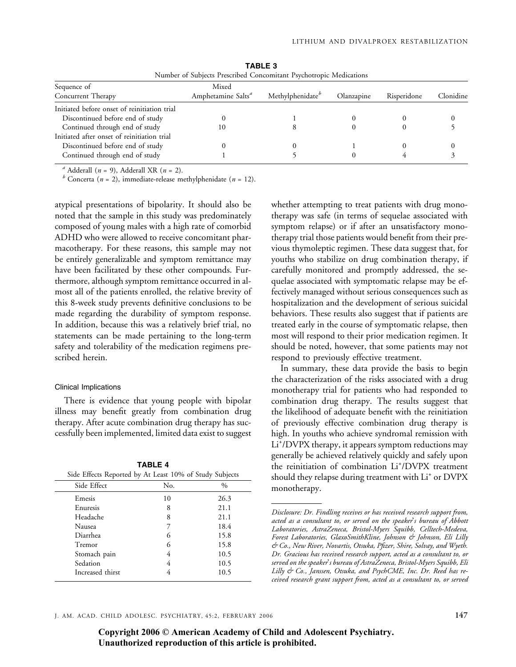| TVULLIDEL OF SUDJECTS FIESCHDEG COHCOLLIDATE EXPERIOTIONIC IVIEGICATIONS |                              |            |             |           |
|--------------------------------------------------------------------------|------------------------------|------------|-------------|-----------|
| Mixed                                                                    |                              |            |             |           |
| Amphetamine Salts <sup>a</sup>                                           | Methylphenidate <sup>b</sup> | Olanzapine | Risperidone | Clonidine |
|                                                                          |                              |            |             |           |
|                                                                          |                              |            |             |           |
| 10                                                                       |                              |            |             |           |
|                                                                          |                              |            |             |           |
|                                                                          |                              |            |             |           |
|                                                                          |                              |            |             |           |
|                                                                          |                              |            |             |           |

TABLE 3 Number of Subjects Prescribed Concomitant Psychotropic Medications

<sup>a</sup> Adderall (*n* = 9), Adderall XR (*n* = 2).<br><sup>*b*</sup> Concerta (*n* = 2), immediate-release methylphenidate (*n* = 12).

atypical presentations of bipolarity. It should also be noted that the sample in this study was predominately composed of young males with a high rate of comorbid ADHD who were allowed to receive concomitant pharmacotherapy. For these reasons, this sample may not be entirely generalizable and symptom remittance may have been facilitated by these other compounds. Furthermore, although symptom remittance occurred in almost all of the patients enrolled, the relative brevity of this 8-week study prevents definitive conclusions to be made regarding the durability of symptom response. In addition, because this was a relatively brief trial, no statements can be made pertaining to the long-term safety and tolerability of the medication regimens prescribed herein.

## Clinical Implications

There is evidence that young people with bipolar illness may benefit greatly from combination drug therapy. After acute combination drug therapy has successfully been implemented, limited data exist to suggest

| <b>TABLE 4</b> |                                                         |  |  |
|----------------|---------------------------------------------------------|--|--|
|                | Side Effects Reported by At Least 10% of Study Subjects |  |  |

| Side Effect      | No. | $\frac{0}{0}$ |  |
|------------------|-----|---------------|--|
| Emesis           | 10  | 26.3          |  |
| Enuresis         | 8   | 21.1          |  |
| Headache         | 8   | 21.1          |  |
| Nausea           |     | 18.4          |  |
| Diarrhea         | 6   | 15.8          |  |
| Tremor           | 6   | 15.8          |  |
| Stomach pain     | 4   | 10.5          |  |
| Sedation         | 4   | 10.5          |  |
| Increased thirst |     | 10.5          |  |
|                  |     |               |  |

whether attempting to treat patients with drug monotherapy was safe (in terms of sequelae associated with symptom relapse) or if after an unsatisfactory monotherapy trial those patients would benefit from their previous thymoleptic regimen. These data suggest that, for youths who stabilize on drug combination therapy, if carefully monitored and promptly addressed, the sequelae associated with symptomatic relapse may be effectively managed without serious consequences such as hospitalization and the development of serious suicidal behaviors. These results also suggest that if patients are treated early in the course of symptomatic relapse, then most will respond to their prior medication regimen. It should be noted, however, that some patients may not respond to previously effective treatment.

In summary, these data provide the basis to begin the characterization of the risks associated with a drug monotherapy trial for patients who had responded to combination drug therapy. The results suggest that the likelihood of adequate benefit with the reinitiation of previously effective combination drug therapy is high. In youths who achieve syndromal remission with Li<sup>+</sup>/DVPX therapy, it appears symptom reductions may generally be achieved relatively quickly and safely upon the reinitiation of combination Li<sup>+</sup>/DVPX treatment should they relapse during treatment with Li<sup>+</sup> or DVPX monotherapy.

Disclosure: Dr. Findling receives or has received research support from, acted as a consultant to, or served on the speaker's bureau of Abbott Laboratories, AstraZeneca, Bristol-Myers Squibb, Celltech-Medeva, Forest Laboratories, GlaxoSmithKline, Johnson & Johnson, Eli Lilly & Co., New River, Novartis, Otsuka, Pfizer, Shire, Solvay, and Wyeth. Dr. Gracious has received research support, acted as a consultant to, or served on the speaker's bureau of AstraZeneca, Bristol-Myers Squibb, Eli Lilly & Co., Janssen, Otsuka, and PsychCME, Inc. Dr. Reed has received research grant support from, acted as a consultant to, or served

J. AM. ACAD. CHILD ADOLESC. PSYCHIATRY, 45:2, FEBRUARY 2006 147